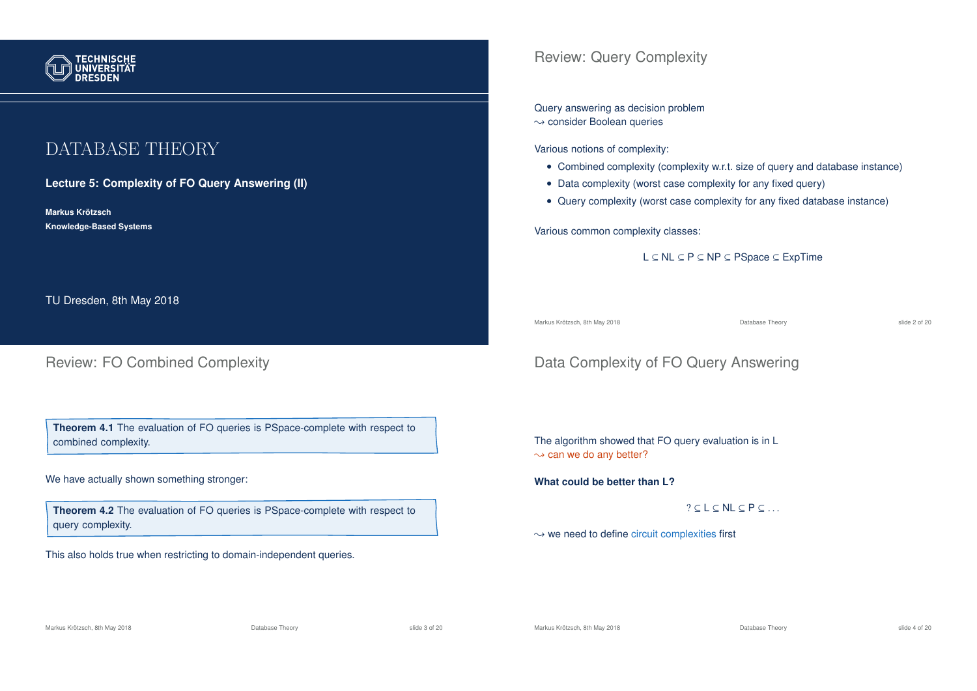

# DATABASE THEORY

**Lecture 5: Complexity of FO Query Answering (II)**

**Markus Krotzsch ¨ Knowledge-Based Systems**

TU Dresden, 8th May 2018

## Review: FO Combined Complexity

**Theorem 4.1** The evaluation of FO queries is PSpace-complete with respect to combined complexity.

We have actually shown something stronger:

**Theorem 4.2** The evaluation of FO queries is PSpace-complete with respect to query complexity.

This also holds true when restricting to domain-independent queries.

## Review: Query Complexity

Query answering as decision problem

 $\rightarrow$  consider Boolean queries

Various notions of complexity:

- Combined complexity (complexity w.r.t. size of query and database instance)
- Data complexity (worst case complexity for any fixed query)
- Query complexity (worst case complexity for any fixed database instance)

Various common complexity classes:

L ⊆ NL ⊆ P ⊆ NP ⊆ PSpace ⊆ ExpTime

Markus Krötzsch, 8th May 2018 Database Theory slide 2 of 20

# Data Complexity of FO Query Answering

The algorithm showed that FO query evaluation is in L  $\rightarrow$  can we do any better?

**What could be better than L?**

 $?$   $\subset$  L  $\subset$  NL  $\subset$  P  $\subset$  ...

 $\rightsquigarrow$  we need to define circuit complexities first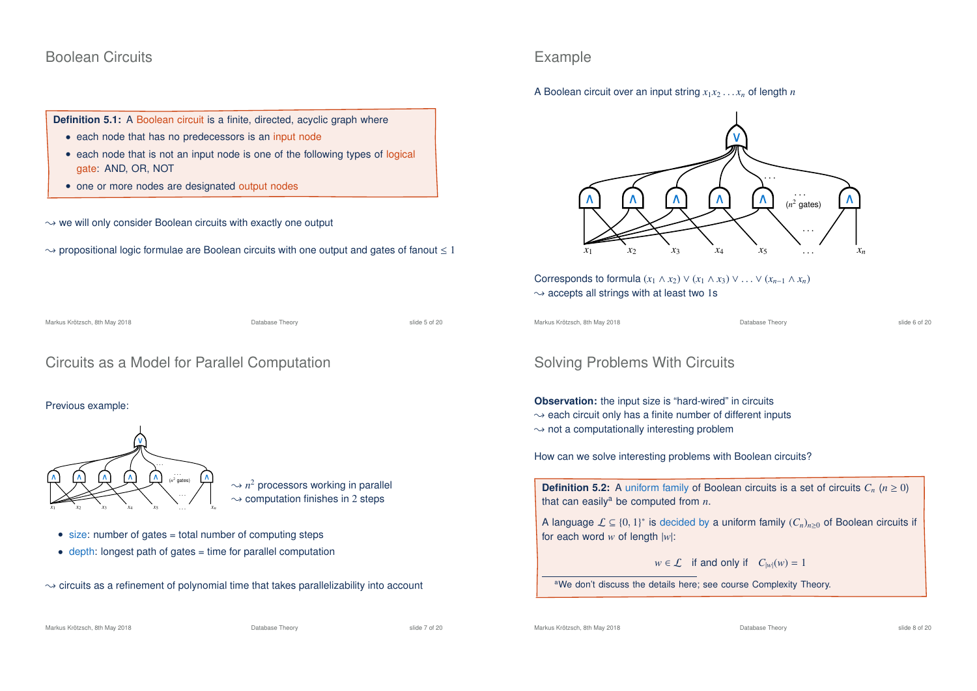## Boolean Circuits

**Definition 5.1:** A Boolean circuit is a finite, directed, acyclic graph where

- each node that has no predecessors is an input node
- each node that is not an input node is one of the following types of logical gate: AND, OR, NOT
- one or more nodes are designated output nodes
- $\rightarrow$  we will only consider Boolean circuits with exactly one output
- $\rightarrow$  propositional logic formulae are Boolean circuits with one output and gates of fanout  $\leq 1$

Markus Krötzsch, 8th May 2018 Database Theory slide 5 of 20

## Circuits as a Model for Parallel Computation

#### Previous example:



- $\sim$   $n^2$  processors working in parallel  $\rightarrow$  computation finishes in 2 steps
- $\bullet$  size: number of gates = total number of computing steps
- depth: longest path of gates = time for parallel computation
- $\rightarrow$  circuits as a refinement of polynomial time that takes parallelizability into account

## Example

A Boolean circuit over an input string  $x_1x_2 \ldots x_n$  of length *n* 



Corresponds to formula  $(x_1 \wedge x_2) \vee (x_1 \wedge x_3) \vee \ldots \vee (x_{n-1} \wedge x_n)$  $\rightarrow$  accepts all strings with at least two 1s

Markus Krötzsch, 8th May 2018 Database Theory slide 6 of 20

## Solving Problems With Circuits

**Observation:** the input size is "hard-wired" in circuits

- $\rightarrow$  each circuit only has a finite number of different inputs
- $\rightarrow$  not a computationally interesting problem

How can we solve interesting problems with Boolean circuits?

**Definition 5.2:** A uniform family of Boolean circuits is a set of circuits  $C_n$  ( $n \ge 0$ ) that can easily<sup>a</sup> be computed from  $n$ .

A language  $\mathcal{L} \subseteq \{0, 1\}^*$  is decided by a uniform family  $(C_n)_{n \geq 0}$  of Boolean circuits if for each word *w* of length |*w*|:

 $w \in \mathcal{L}$  if and only if  $C_{|w|}(w) = 1$ 

aWe don't discuss the details here; see course Complexity Theory.

Markus Krötzsch, 8th May 2018 Database Theory slide 7 of 20

Markus Krötzsch, 8th May 2018 Database Theory slide 8 of 20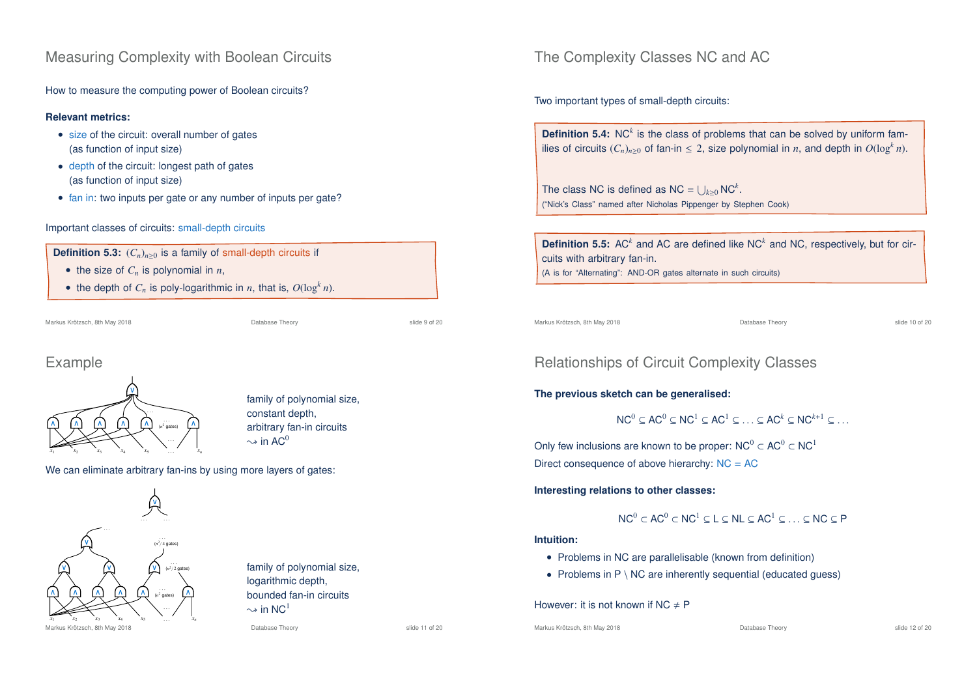## Measuring Complexity with Boolean Circuits

How to measure the computing power of Boolean circuits?

### **Relevant metrics:**

- size of the circuit: overall number of gates (as function of input size)
- depth of the circuit: longest path of gates (as function of input size)
- fan in: two inputs per gate or any number of inputs per gate?

### Important classes of circuits: small-depth circuits



• the depth of  $C_n$  is poly-logarithmic in *n*, that is,  $O(\log^k n)$ .

Markus Krötzsch, 8th May 2018 Database Theory slide 9 of 20

## Example



family of polynomial size, constant depth, arbitrary fan-in circuits  $\rightarrow$  in AC<sup>0</sup>

We can eliminate arbitrary fan-ins by using more layers of gates:



Markus Krötzsch, 8th May 2018 Database Theory slide 11 of 20

family of polynomial size, logarithmic depth, bounded fan-in circuits  $\sim$  in NC<sup>1</sup>

The Complexity Classes NC and AC

Two important types of small-depth circuits:

**Definition 5.4:** NC<sup>k</sup> is the class of problems that can be solved by uniform families of circuits  $(C_n)_{n\geq 0}$  of fan-in  $\leq 2$ , size polynomial in *n*, and depth in  $O(\log^k n)$ .

The class NC is defined as  $NC = \bigcup_{k \geq 0} NC^k$ . ("Nick's Class" named after Nicholas Pippenger by Stephen Cook)

**Definition 5.5:** AC<sup>k</sup> and AC are defined like NC<sup>k</sup> and NC, respectively, but for circuits with arbitrary fan-in. (A is for "Alternating": AND-OR gates alternate in such circuits)

Markus Krötzsch, 8th May 2018 Database Theory slide 10 of 20

# Relationships of Circuit Complexity Classes

### **The previous sketch can be generalised:**

 $NC^0 \subset AC^0 \subset NC^1 \subset AC^1 \subset \cdots \subset AC^k \subset NC^{k+1} \subset \cdots$ 

Only few inclusions are known to be proper:  $NC^0 \subset AC^0 \subset NC^1$ Direct consequence of above hierarchy:  $NC = AC$ 

### **Interesting relations to other classes:**

 $NC^0 \subset AC^0 \subset NC^1 \subset L \subset NL \subset AC^1 \subset \subset CNC \subset P$ 

#### **Intuition:**

- Problems in NC are parallelisable (known from definition)
- Problems in  $P \setminus NC$  are inherently sequential (educated guess)

### However: it is not known if NC  $\neq$  P

Markus Krötzsch, 8th May 2018 Database Theory slide 12 of 20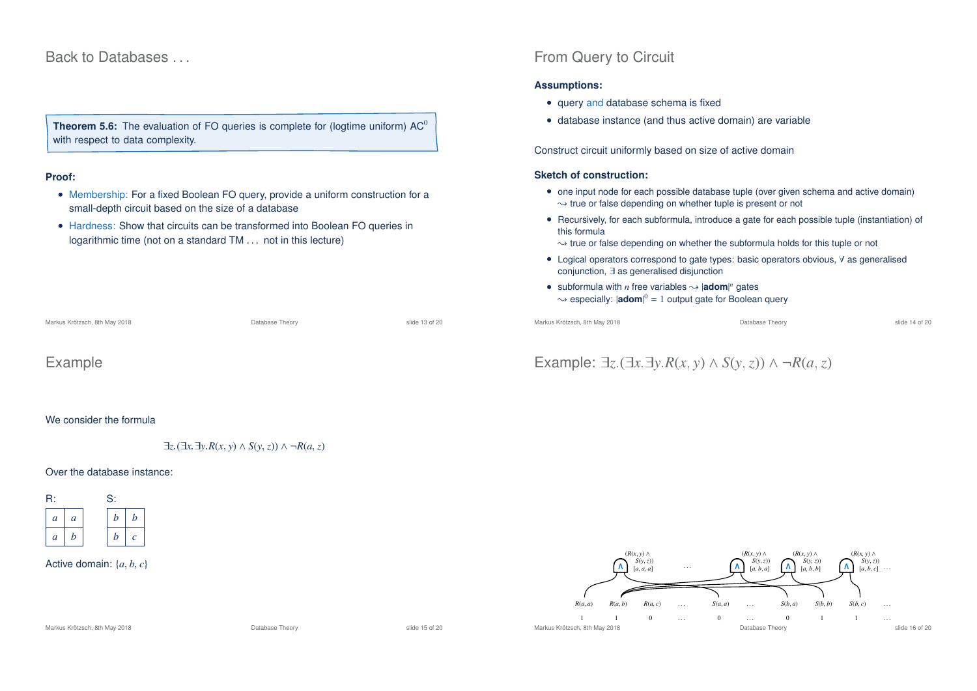## Back to Databases

**Theorem 5.6:** The evaluation of FO queries is complete for (logtime uniform) AC<sup>0</sup> with respect to data complexity.

#### **Proof:**

- Membership: For a fixed Boolean FO query, provide a uniform construction for a small-depth circuit based on the size of a database
- Hardness: Show that circuits can be transformed into Boolean FO queries in logarithmic time (not on a standard TM . . . not in this lecture)

Markus Krötzsch, 8th May 2018 Database Theory slide 13 of 20

### Example

We consider the formula

∃*z*.(∃*x*.∃*y*.*R*(*x*, *y*) ∧ *S*(*y*,*z*)) ∧ ¬*R*(*a*,*z*)

#### Over the database instance:



#### Active domain: {*a*, *b*, *c*}

# From Query to Circuit

#### **Assumptions:**

- query and database schema is fixed
- database instance (and thus active domain) are variable

Construct circuit uniformly based on size of active domain

#### **Sketch of construction:**

- one input node for each possible database tuple (over given schema and active domain)  $\rightarrow$  true or false depending on whether tuple is present or not
- Recursively, for each subformula, introduce a gate for each possible tuple (instantiation) of this formula
- $\rightsquigarrow$  true or false depending on whether the subformula holds for this tuple or not
- Logical operators correspond to gate types: basic operators obvious, ∀ as generalised conjunction, ∃ as generalised disjunction
- subformula with *n* free variables  $\rightsquigarrow$  |**adom**|<sup>*n*</sup> gates  $\rightsquigarrow$  especially:  $|{\bf adom}|^0 = 1$  output gate for Boolean query

Markus Krötzsch, 8th May 2018 Database Theory slide 14 of 20

# Example: <sup>∃</sup>*z*.(∃*x*.∃*y*.*R*(*x*, *<sup>y</sup>*) <sup>∧</sup> *<sup>S</sup>*(*y*,*z*)) ∧ ¬*R*(*a*,*z*)



#### Markus Krötzsch, 8th May 2018 Database Theory slide 15 of 20